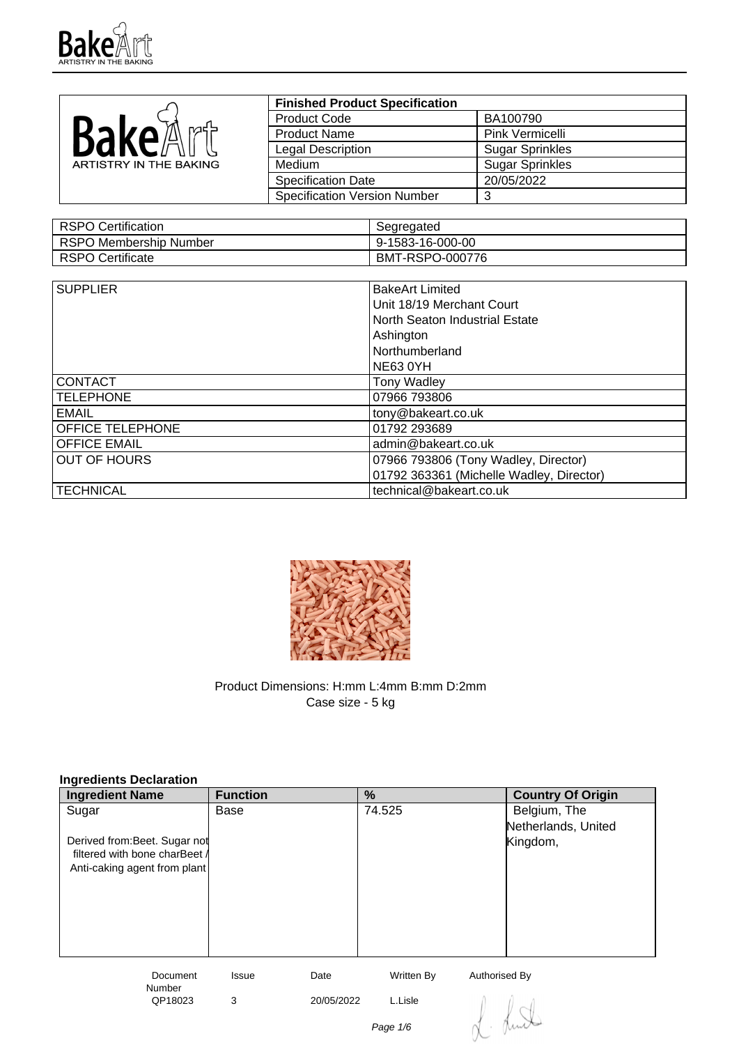

|                        | <b>Finished Product Specification</b> |                        |
|------------------------|---------------------------------------|------------------------|
|                        | <b>Product Code</b>                   | BA100790               |
| Каке                   | <b>Product Name</b>                   | Pink Vermicelli        |
|                        | Legal Description                     | <b>Sugar Sprinkles</b> |
| ARTISTRY IN THE BAKING | Medium                                | <b>Sugar Sprinkles</b> |
|                        | <b>Specification Date</b>             | 20/05/2022             |
|                        | <b>Specification Version Number</b>   | ົ                      |

| RSPO Certification     | Segregated       |
|------------------------|------------------|
| RSPO Membership Number | 9-1583-16-000-00 |
| RSPO Certificate       | BMT-RSPO-000776  |

| <b>SUPPLIER</b>     | <b>BakeArt Limited</b>                   |
|---------------------|------------------------------------------|
|                     |                                          |
|                     | Unit 18/19 Merchant Court                |
|                     | North Seaton Industrial Estate           |
|                     | Ashington                                |
|                     | Northumberland                           |
|                     | <b>NE63 0YH</b>                          |
| <b>CONTACT</b>      | <b>Tony Wadley</b>                       |
| <b>TELEPHONE</b>    | 07966 793806                             |
| EMAIL               | tony@bakeart.co.uk                       |
| OFFICE TELEPHONE    | 01792 293689                             |
| <b>OFFICE EMAIL</b> | admin@bakeart.co.uk                      |
| <b>OUT OF HOURS</b> | 07966 793806 (Tony Wadley, Director)     |
|                     | 01792 363361 (Michelle Wadley, Director) |
| <b>TECHNICAL</b>    | technical@bakeart.co.uk                  |



Product Dimensions: H:mm L:4mm B:mm D:2mm Case size - 5 kg

| Ingredients Declaration       |                 |                       |                          |
|-------------------------------|-----------------|-----------------------|--------------------------|
| <b>Ingredient Name</b>        | <b>Function</b> | %                     | <b>Country Of Origin</b> |
| Sugar                         | Base            | 74.525                | Belgium, The             |
|                               |                 |                       | Netherlands, United      |
| Derived from: Beet. Sugar not |                 |                       | Kingdom,                 |
| filtered with bone charBeet A |                 |                       |                          |
| Anti-caking agent from plant  |                 |                       |                          |
|                               |                 |                       |                          |
|                               |                 |                       |                          |
|                               |                 |                       |                          |
|                               |                 |                       |                          |
|                               |                 |                       |                          |
| Document<br><b>Number</b>     | Issue<br>Date   | Written By            | Authorised By            |
| QP18023                       | 3               | L.Lisle<br>20/05/2022 |                          |
|                               |                 |                       |                          |
|                               |                 | Page 1/6              |                          |
|                               |                 |                       |                          |

# **Ingredients Declaration**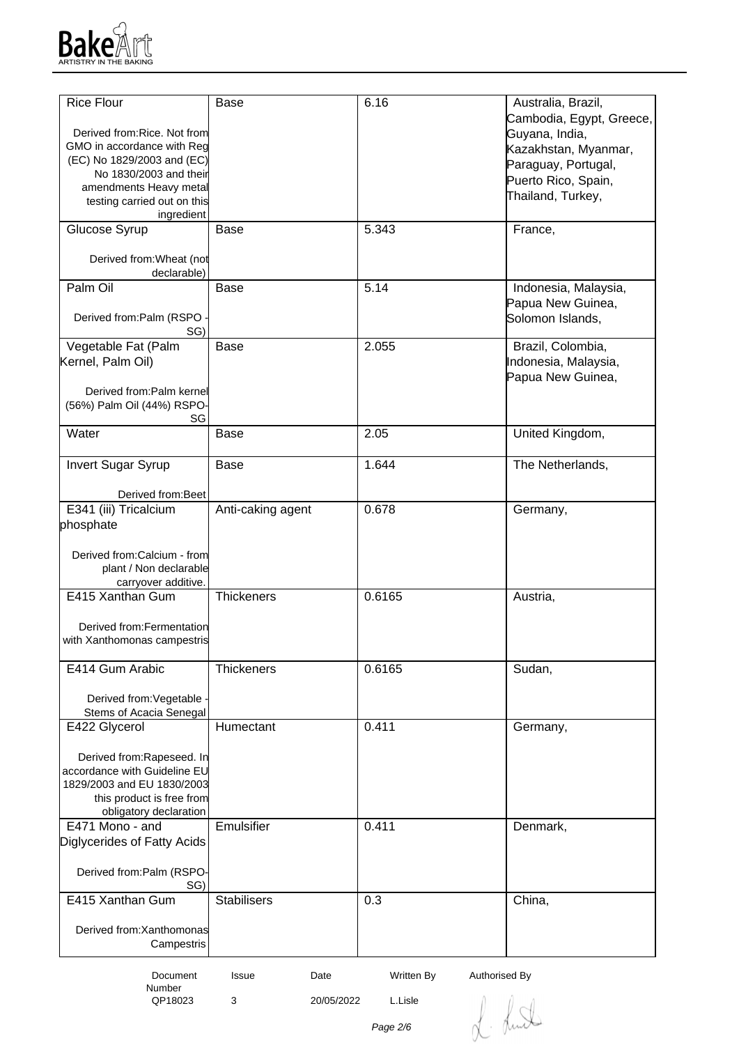

| <b>Rice Flour</b>                                          | <b>Base</b>        | 6.16                        | Australia, Brazil,       |
|------------------------------------------------------------|--------------------|-----------------------------|--------------------------|
|                                                            |                    |                             | Cambodia, Egypt, Greece, |
| Derived from: Rice. Not from                               |                    |                             | Guyana, India,           |
| GMO in accordance with Reg                                 |                    |                             | Kazakhstan, Myanmar,     |
| (EC) No 1829/2003 and (EC)<br>No 1830/2003 and their       |                    |                             | Paraguay, Portugal,      |
| amendments Heavy metal                                     |                    |                             | Puerto Rico, Spain,      |
| testing carried out on this                                |                    |                             | Thailand, Turkey,        |
| ingredient                                                 |                    |                             |                          |
| Glucose Syrup                                              | <b>Base</b>        | 5.343                       | France,                  |
| Derived from: Wheat (not<br>declarable)                    |                    |                             |                          |
| Palm Oil                                                   | <b>Base</b>        | 5.14                        | Indonesia, Malaysia,     |
|                                                            |                    |                             | Papua New Guinea,        |
| Derived from:Palm (RSPO                                    |                    |                             | Solomon Islands,         |
| SG)                                                        |                    |                             |                          |
| Vegetable Fat (Palm                                        | Base               | 2.055                       | Brazil, Colombia,        |
| Kernel, Palm Oil)                                          |                    |                             | Indonesia, Malaysia,     |
|                                                            |                    |                             | Papua New Guinea,        |
| Derived from:Palm kernel<br>(56%) Palm Oil (44%) RSPO-     |                    |                             |                          |
| SG                                                         |                    |                             |                          |
| Water                                                      | Base               | 2.05                        | United Kingdom,          |
|                                                            |                    |                             |                          |
| <b>Invert Sugar Syrup</b>                                  | <b>Base</b>        | 1.644                       | The Netherlands,         |
| Derived from: Beet                                         |                    |                             |                          |
| E341 (iii) Tricalcium                                      | Anti-caking agent  | 0.678                       | Germany,                 |
| phosphate                                                  |                    |                             |                          |
|                                                            |                    |                             |                          |
| Derived from:Calcium - from                                |                    |                             |                          |
| plant / Non declarable                                     |                    |                             |                          |
| carryover additive.                                        |                    |                             |                          |
| E415 Xanthan Gum                                           | <b>Thickeners</b>  | 0.6165                      | Austria,                 |
|                                                            |                    |                             |                          |
| Derived from: Fermentation                                 |                    |                             |                          |
| with Xanthomonas campestris                                |                    |                             |                          |
| E414 Gum Arabic                                            | Thickeners         | 0.6165                      | Sudan,                   |
|                                                            |                    |                             |                          |
| Derived from: Vegetable                                    |                    |                             |                          |
| Stems of Acacia Senegal                                    |                    |                             |                          |
| E422 Glycerol                                              | Humectant          | 0.411                       | Germany,                 |
|                                                            |                    |                             |                          |
| Derived from: Rapeseed. In<br>accordance with Guideline EU |                    |                             |                          |
| 1829/2003 and EU 1830/2003                                 |                    |                             |                          |
| this product is free from                                  |                    |                             |                          |
| obligatory declaration                                     |                    |                             |                          |
| E471 Mono - and                                            | Emulsifier         | 0.411                       | Denmark,                 |
| Diglycerides of Fatty Acids                                |                    |                             |                          |
|                                                            |                    |                             |                          |
| Derived from:Palm (RSPO-                                   |                    |                             |                          |
| SG)                                                        |                    |                             |                          |
| E415 Xanthan Gum                                           | <b>Stabilisers</b> | 0.3                         | China,                   |
| Derived from: Xanthomonas                                  |                    |                             |                          |
| Campestris                                                 |                    |                             |                          |
|                                                            |                    |                             |                          |
| Document                                                   | Date<br>Issue      | Written By<br>Authorised By |                          |

L. Luth

Page 2/6

3 20/05/2022 L.Lisle

Number<br>QP18023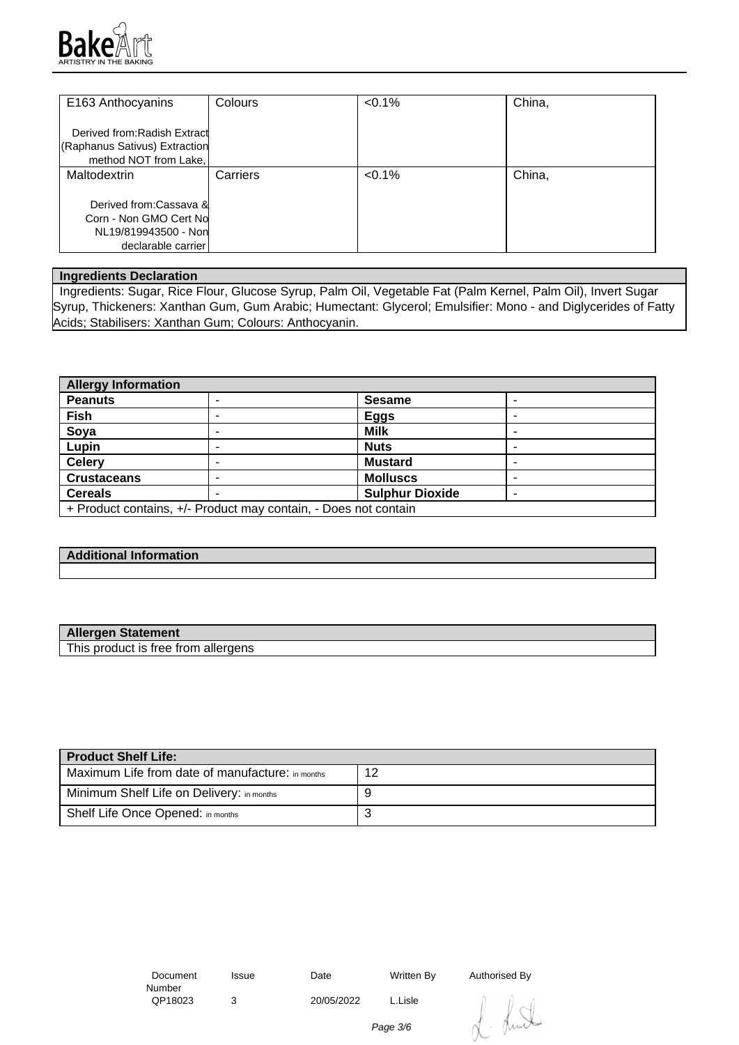

| E163 Anthocyanins                                                                              | Colours  | $< 0.1\%$ | China, |
|------------------------------------------------------------------------------------------------|----------|-----------|--------|
| Derived from: Radish Extract<br>(Raphanus Sativus) Extraction<br>method NOT from Lake.         |          |           |        |
| Maltodextrin                                                                                   | Carriers | $< 0.1\%$ | China, |
| Derived from:Cassava &<br>Corn - Non GMO Cert No<br>NL19/819943500 - Non<br>declarable carrier |          |           |        |

#### **Ingredients Declaration**

 Ingredients: Sugar, Rice Flour, Glucose Syrup, Palm Oil, Vegetable Fat (Palm Kernel, Palm Oil), Invert Sugar Syrup, Thickeners: Xanthan Gum, Gum Arabic; Humectant: Glycerol; Emulsifier: Mono - and Diglycerides of Fatty Acids; Stabilisers: Xanthan Gum; Colours: Anthocyanin.

| <b>Allergy Information</b>                                      |   |                        |  |
|-----------------------------------------------------------------|---|------------------------|--|
| <b>Peanuts</b>                                                  |   | <b>Sesame</b>          |  |
| <b>Fish</b>                                                     |   | <b>Eggs</b>            |  |
| Soya                                                            | - | <b>Milk</b>            |  |
| Lupin                                                           |   | <b>Nuts</b>            |  |
| <b>Celery</b>                                                   |   | <b>Mustard</b>         |  |
| <b>Crustaceans</b>                                              |   | <b>Molluscs</b>        |  |
| <b>Cereals</b>                                                  | - | <b>Sulphur Dioxide</b> |  |
| + Product contains, +/- Product may contain, - Does not contain |   |                        |  |

## **Additional Information**

| <b>Allergen Statement</b>           |  |
|-------------------------------------|--|
| This product is free from allergens |  |

| <b>Product Shelf Life:</b>                       |    |  |  |
|--------------------------------------------------|----|--|--|
| Maximum Life from date of manufacture: in months | 12 |  |  |
| Minimum Shelf Life on Delivery: in months        |    |  |  |
| Shelf Life Once Opened: in months                | ື  |  |  |

 Document Number<br>QP18023

3 20/05/2022 L.Lisle

Issue Date Written By Authorised By

huit

Page 3/6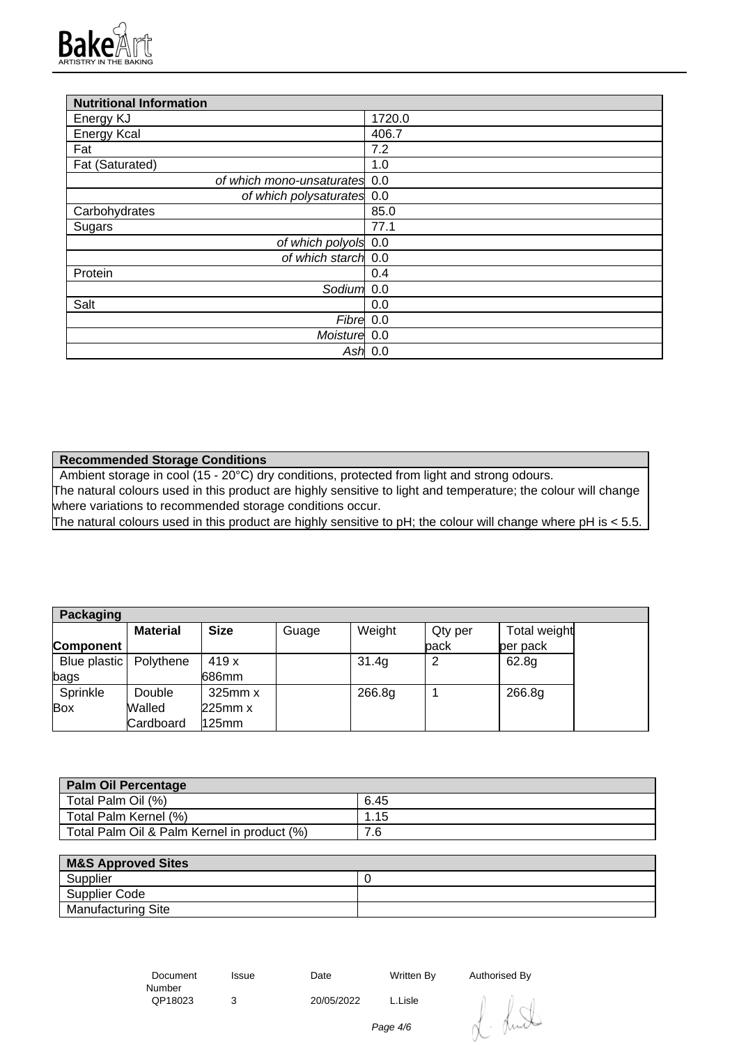

| <b>Nutritional Information</b> |           |
|--------------------------------|-----------|
| Energy KJ                      | 1720.0    |
| <b>Energy Kcal</b>             | 406.7     |
| Fat                            | 7.2       |
| Fat (Saturated)                | 1.0       |
| of which mono-unsaturates 0.0  |           |
| of which polysaturates 0.0     |           |
| Carbohydrates                  | 85.0      |
| Sugars                         | 77.1      |
| of which polyols 0.0           |           |
| of which starch 0.0            |           |
| Protein                        | 0.4       |
| Sodium                         | 0.0       |
| Salt                           | 0.0       |
| Fibre 0.0                      |           |
| Moisture 0.0                   |           |
|                                | Ash $0.0$ |

**Recommended Storage Conditions**

Ambient storage in cool (15 - 20°C) dry conditions, protected from light and strong odours. The natural colours used in this product are highly sensitive to light and temperature; the colour will change where variations to recommended storage conditions occur.

The natural colours used in this product are highly sensitive to pH; the colour will change where pH is < 5.5.

| Packaging                |                 |              |       |        |         |              |
|--------------------------|-----------------|--------------|-------|--------|---------|--------------|
|                          | <b>Material</b> | <b>Size</b>  | Guage | Weight | Qty per | Total weight |
| Component                |                 |              |       |        | back    | per pack     |
| Blue plastic   Polythene |                 | 419 x        |       | 31.4g  | っ       | 62.8g        |
| bags                     |                 | 686mm        |       |        |         |              |
| Sprinkle                 | Double          | $325$ mm $x$ |       | 266.8g |         | 266.8g       |
| <b>Box</b>               | Walled          | 225mm x      |       |        |         |              |
|                          | Cardboard       | 125mm        |       |        |         |              |

| <b>Palm Oil Percentage</b>                  |      |
|---------------------------------------------|------|
| Total Palm Oil (%)                          | 6.45 |
| Total Palm Kernel (%)                       | ⊢.15 |
| Total Palm Oil & Palm Kernel in product (%) | 7.6  |

| <b>M&amp;S Approved Sites</b> |  |
|-------------------------------|--|
| Supplier                      |  |
| Supplier Code                 |  |
| <b>Manufacturing Site</b>     |  |

| Document | Issue | Date       | Written By | Authorised |
|----------|-------|------------|------------|------------|
| Number   |       |            |            |            |
| QP18023  |       | 20/05/2022 | L.Lisle    |            |

Authorised By<br> $\int \mathbf{r} \cdot d\mathbf{r}$ 

Page 4/6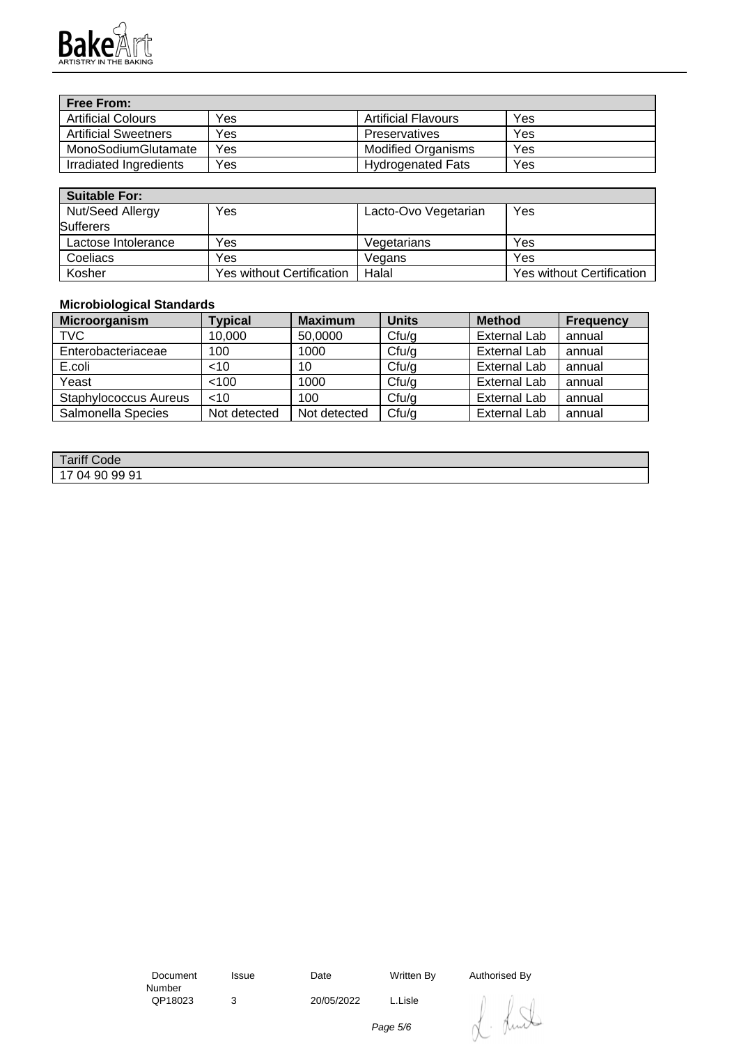

| <b>Free From:</b>           |     |                            |     |
|-----------------------------|-----|----------------------------|-----|
| <b>Artificial Colours</b>   | Yes | <b>Artificial Flavours</b> | Yes |
| <b>Artificial Sweetners</b> | Yes | Preservatives              | Yes |
| MonoSodiumGlutamate         | Yes | <b>Modified Organisms</b>  | Yes |
| Irradiated Ingredients      | Yes | <b>Hydrogenated Fats</b>   | Yes |

| <b>Suitable For:</b> |                                  |                      |                                  |
|----------------------|----------------------------------|----------------------|----------------------------------|
| Nut/Seed Allergy     | Yes                              | Lacto-Ovo Vegetarian | Yes                              |
| <b>Sufferers</b>     |                                  |                      |                                  |
| Lactose Intolerance  | Yes                              | Vegetarians          | Yes                              |
| Coeliacs             | Yes                              | Vegans               | Yes                              |
| Kosher               | <b>Yes without Certification</b> | Halal                | <b>Yes without Certification</b> |

## **Microbiological Standards**

| Microorganism         | <b>Typical</b> | <b>Maximum</b> | <b>Units</b>      | <b>Method</b>       | <b>Frequency</b> |
|-----------------------|----------------|----------------|-------------------|---------------------|------------------|
| <b>TVC</b>            | 10,000         | 50,0000        | Cfu/g             | <b>External Lab</b> | annual           |
| Enterobacteriaceae    | 100            | 1000           | Cf <sub>u/g</sub> | <b>External Lab</b> | annual           |
| E.coli                | <10            | 10             | Cfu/g             | <b>External Lab</b> | annual           |
| Yeast                 | < 100          | 1000           | Cf <sub>u</sub>   | <b>External Lab</b> | annual           |
| Staphylococcus Aureus | $<$ 10         | 100            | Cf <sub>u/g</sub> | <b>External Lab</b> | annual           |
| Salmonella Species    | Not detected   | Not detected   | Cf <sub>u</sub>   | <b>External Lab</b> | annual           |

| Tariff C<br>Code                   |  |
|------------------------------------|--|
| 9991<br>90<br>ገ⊿<br>. .<br>$\cdot$ |  |

 Document Number<br>QP18023 3 20/05/2022 L.Lisle

Issue Date Written By Authorised By

. Lund  $\bigcap$ 

Page 5/6